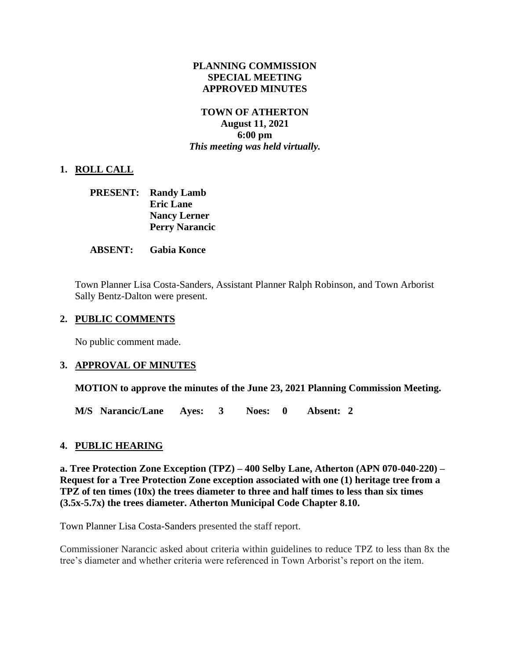#### **PLANNING COMMISSION SPECIAL MEETING APPROVED MINUTES**

#### **TOWN OF ATHERTON August 11, 2021 6:00 pm** *This meeting was held virtually.*

## **1. ROLL CALL**

|  | <b>PRESENT:</b> Randy Lamb |
|--|----------------------------|
|  | <b>Eric Lane</b>           |
|  | <b>Nancy Lerner</b>        |
|  | <b>Perry Narancic</b>      |

#### **ABSENT: Gabia Konce**

Town Planner Lisa Costa-Sanders, Assistant Planner Ralph Robinson, and Town Arborist Sally Bentz-Dalton were present.

#### **2. PUBLIC COMMENTS**

No public comment made.

### **3. APPROVAL OF MINUTES**

**MOTION to approve the minutes of the June 23, 2021 Planning Commission Meeting.**

**M/S Narancic/Lane Ayes: 3 Noes: 0 Absent: 2**

### **4. PUBLIC HEARING**

**a. Tree Protection Zone Exception (TPZ) – 400 Selby Lane, Atherton (APN 070-040-220) – Request for a Tree Protection Zone exception associated with one (1) heritage tree from a TPZ of ten times (10x) the trees diameter to three and half times to less than six times (3.5x-5.7x) the trees diameter. Atherton Municipal Code Chapter 8.10.**

Town Planner Lisa Costa-Sanders presented the staff report.

Commissioner Narancic asked about criteria within guidelines to reduce TPZ to less than 8x the tree's diameter and whether criteria were referenced in Town Arborist's report on the item.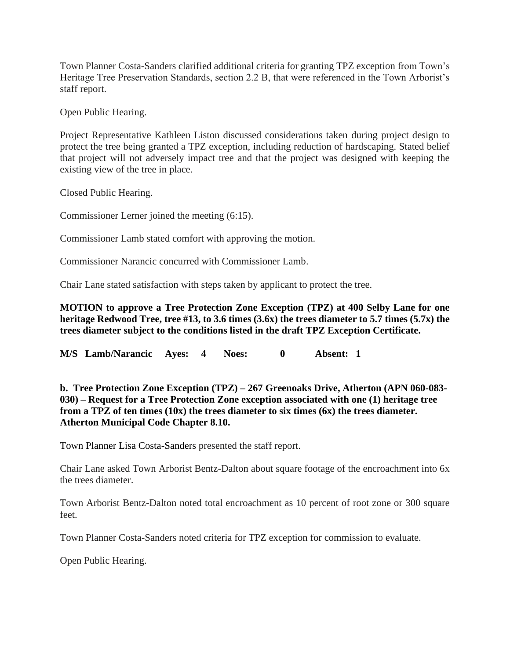Town Planner Costa-Sanders clarified additional criteria for granting TPZ exception from Town's Heritage Tree Preservation Standards, section 2.2 B, that were referenced in the Town Arborist's staff report.

Open Public Hearing.

Project Representative Kathleen Liston discussed considerations taken during project design to protect the tree being granted a TPZ exception, including reduction of hardscaping. Stated belief that project will not adversely impact tree and that the project was designed with keeping the existing view of the tree in place.

Closed Public Hearing.

Commissioner Lerner joined the meeting (6:15).

Commissioner Lamb stated comfort with approving the motion.

Commissioner Narancic concurred with Commissioner Lamb.

Chair Lane stated satisfaction with steps taken by applicant to protect the tree.

**MOTION to approve a Tree Protection Zone Exception (TPZ) at 400 Selby Lane for one heritage Redwood Tree, tree #13, to 3.6 times (3.6x) the trees diameter to 5.7 times (5.7x) the trees diameter subject to the conditions listed in the draft TPZ Exception Certificate.**

**M/S Lamb/Narancic Ayes: 4 Noes: 0 Absent: 1**

**b. Tree Protection Zone Exception (TPZ) – 267 Greenoaks Drive, Atherton (APN 060-083- 030) – Request for a Tree Protection Zone exception associated with one (1) heritage tree from a TPZ of ten times (10x) the trees diameter to six times (6x) the trees diameter. Atherton Municipal Code Chapter 8.10.**

Town Planner Lisa Costa-Sanders presented the staff report.

Chair Lane asked Town Arborist Bentz-Dalton about square footage of the encroachment into 6x the trees diameter.

Town Arborist Bentz-Dalton noted total encroachment as 10 percent of root zone or 300 square feet.

Town Planner Costa-Sanders noted criteria for TPZ exception for commission to evaluate.

Open Public Hearing.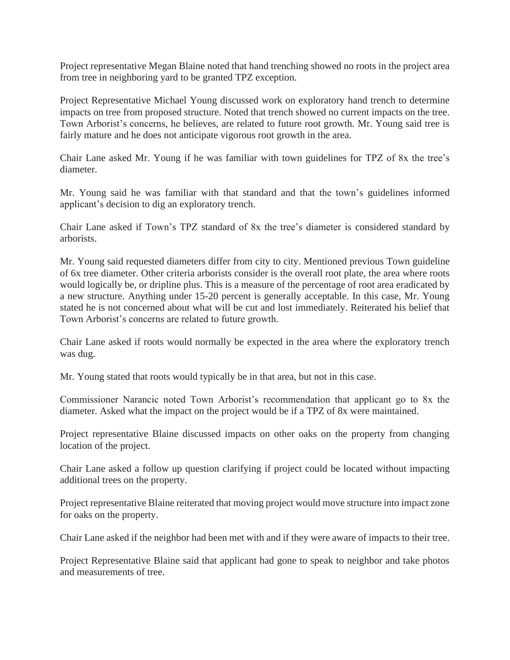Project representative Megan Blaine noted that hand trenching showed no roots in the project area from tree in neighboring yard to be granted TPZ exception.

Project Representative Michael Young discussed work on exploratory hand trench to determine impacts on tree from proposed structure. Noted that trench showed no current impacts on the tree. Town Arborist's concerns, he believes, are related to future root growth. Mr. Young said tree is fairly mature and he does not anticipate vigorous root growth in the area.

Chair Lane asked Mr. Young if he was familiar with town guidelines for TPZ of 8x the tree's diameter.

Mr. Young said he was familiar with that standard and that the town's guidelines informed applicant's decision to dig an exploratory trench.

Chair Lane asked if Town's TPZ standard of 8x the tree's diameter is considered standard by arborists.

Mr. Young said requested diameters differ from city to city. Mentioned previous Town guideline of 6x tree diameter. Other criteria arborists consider is the overall root plate, the area where roots would logically be, or dripline plus. This is a measure of the percentage of root area eradicated by a new structure. Anything under 15-20 percent is generally acceptable. In this case, Mr. Young stated he is not concerned about what will be cut and lost immediately. Reiterated his belief that Town Arborist's concerns are related to future growth.

Chair Lane asked if roots would normally be expected in the area where the exploratory trench was dug.

Mr. Young stated that roots would typically be in that area, but not in this case.

Commissioner Narancic noted Town Arborist's recommendation that applicant go to 8x the diameter. Asked what the impact on the project would be if a TPZ of 8x were maintained.

Project representative Blaine discussed impacts on other oaks on the property from changing location of the project.

Chair Lane asked a follow up question clarifying if project could be located without impacting additional trees on the property.

Project representative Blaine reiterated that moving project would move structure into impact zone for oaks on the property.

Chair Lane asked if the neighbor had been met with and if they were aware of impacts to their tree.

Project Representative Blaine said that applicant had gone to speak to neighbor and take photos and measurements of tree.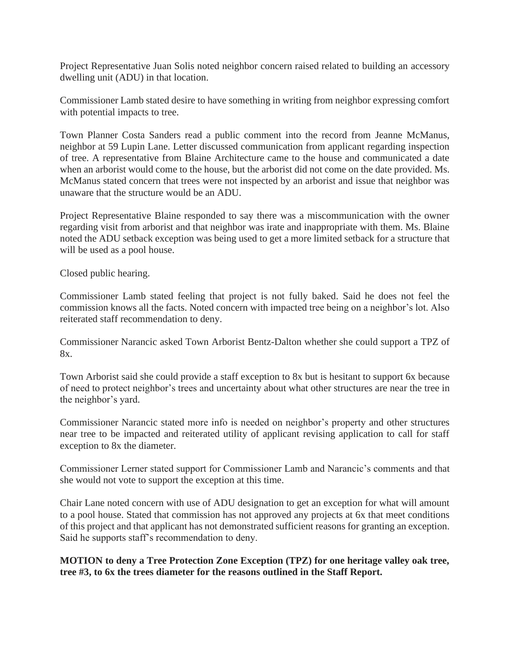Project Representative Juan Solis noted neighbor concern raised related to building an accessory dwelling unit (ADU) in that location.

Commissioner Lamb stated desire to have something in writing from neighbor expressing comfort with potential impacts to tree.

Town Planner Costa Sanders read a public comment into the record from Jeanne McManus, neighbor at 59 Lupin Lane. Letter discussed communication from applicant regarding inspection of tree. A representative from Blaine Architecture came to the house and communicated a date when an arborist would come to the house, but the arborist did not come on the date provided. Ms. McManus stated concern that trees were not inspected by an arborist and issue that neighbor was unaware that the structure would be an ADU.

Project Representative Blaine responded to say there was a miscommunication with the owner regarding visit from arborist and that neighbor was irate and inappropriate with them. Ms. Blaine noted the ADU setback exception was being used to get a more limited setback for a structure that will be used as a pool house.

Closed public hearing.

Commissioner Lamb stated feeling that project is not fully baked. Said he does not feel the commission knows all the facts. Noted concern with impacted tree being on a neighbor's lot. Also reiterated staff recommendation to deny.

Commissioner Narancic asked Town Arborist Bentz-Dalton whether she could support a TPZ of 8x.

Town Arborist said she could provide a staff exception to 8x but is hesitant to support 6x because of need to protect neighbor's trees and uncertainty about what other structures are near the tree in the neighbor's yard.

Commissioner Narancic stated more info is needed on neighbor's property and other structures near tree to be impacted and reiterated utility of applicant revising application to call for staff exception to 8x the diameter.

Commissioner Lerner stated support for Commissioner Lamb and Narancic's comments and that she would not vote to support the exception at this time.

Chair Lane noted concern with use of ADU designation to get an exception for what will amount to a pool house. Stated that commission has not approved any projects at 6x that meet conditions of this project and that applicant has not demonstrated sufficient reasons for granting an exception. Said he supports staff's recommendation to deny.

**MOTION to deny a Tree Protection Zone Exception (TPZ) for one heritage valley oak tree, tree #3, to 6x the trees diameter for the reasons outlined in the Staff Report.**